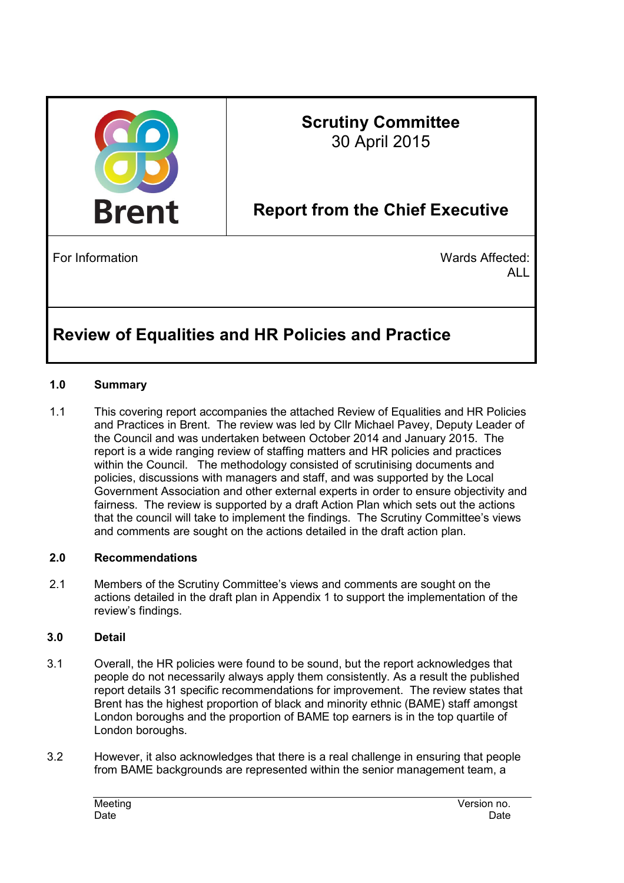

# **Scrutiny Committee**  30 April 2015

# **Report from the Chief Executive**

For Information **National Contract Contract Contract Contract Contract Contract Contract Contract Contract Contract Contract Contract Contract Contract Contract Contract Contract Contract Contract Contract Contract Contrac** ALL

# **Review of Equalities and HR Policies and Practice**

# **1.0 Summary**

1.1 This covering report accompanies the attached Review of Equalities and HR Policies and Practices in Brent. The review was led by Cllr Michael Pavey, Deputy Leader of the Council and was undertaken between October 2014 and January 2015. The report is a wide ranging review of staffing matters and HR policies and practices within the Council. The methodology consisted of scrutinising documents and policies, discussions with managers and staff, and was supported by the Local Government Association and other external experts in order to ensure objectivity and fairness. The review is supported by a draft Action Plan which sets out the actions that the council will take to implement the findings. The Scrutiny Committee's views and comments are sought on the actions detailed in the draft action plan.

#### **2.0 Recommendations**

2.1 Members of the Scrutiny Committee's views and comments are sought on the actions detailed in the draft plan in Appendix 1 to support the implementation of the review's findings.

#### **3.0 Detail**

- 3.1 Overall, the HR policies were found to be sound, but the report acknowledges that people do not necessarily always apply them consistently. As a result the published report details 31 specific recommendations for improvement. The review states that Brent has the highest proportion of black and minority ethnic (BAME) staff amongst London boroughs and the proportion of BAME top earners is in the top quartile of London boroughs.
- 3.2 However, it also acknowledges that there is a real challenge in ensuring that people from BAME backgrounds are represented within the senior management team, a